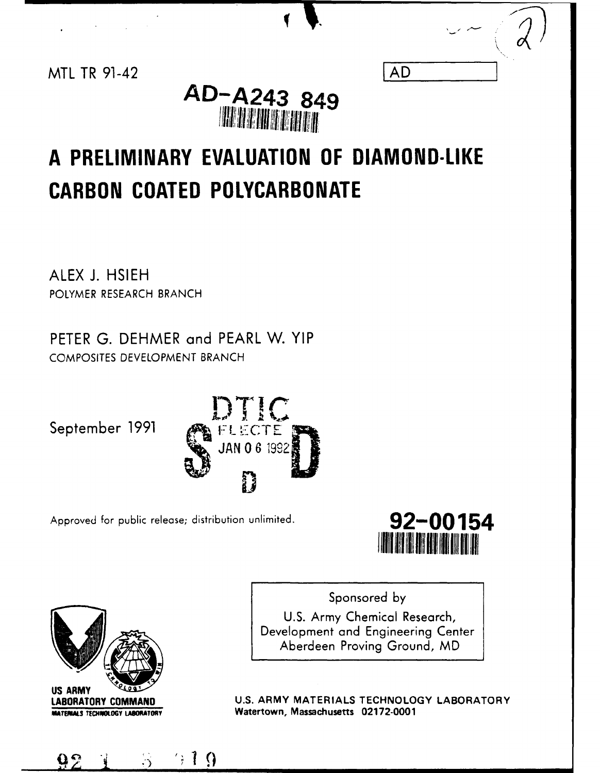|    | الممتدح |  |
|----|---------|--|
|    |         |  |
| AD |         |  |
|    |         |  |

# MTL TR 91-42 **AD AD-A243 849 THE REAL PROPERTY OF**

# **A PRELIMINARY EVALUATION OF DIAMOND-LIKE CARBON COATED POLYCARBONATE**

ALEX **J. HSIEH** POLYMER RESEARCH BRANCH

PETER **G.** DEHMER and PEARL W. YIP COMPOSITES DEVELOPMENT BRANCH



Approved for public release; distribution unlimited. **92-00154** 





, =l **nm** ~mm mmNmm **iI** gi19mwtI m

Sponsored by U.S. Army Chemical Research, Development and Engineering Center Aberdeen Proving Ground, MD

**LABORATORY COMMAND U.S. ARMY MATERIALS TECHNOLOGY LABORATORY WATERIALS TECHNOLOGY LABORATORY Watertown, Massachusetts 02172-0001**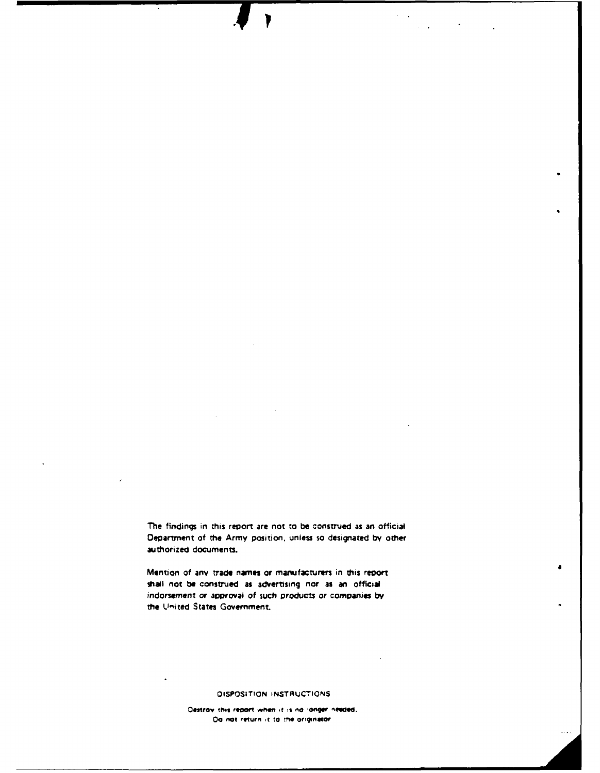The findings in this report are not to be construed as an official Department of the Army position, unless so designated by other authorized documents.

Mention of any trade names or manufacturers in this report shall not be construed as advertising nor as an official indorsement or approval of such products or companies by the United States Government,

#### DISPOSITION INSTRUCTIONS

Destroy this report when it is no longer needed. Da not return it to the originator.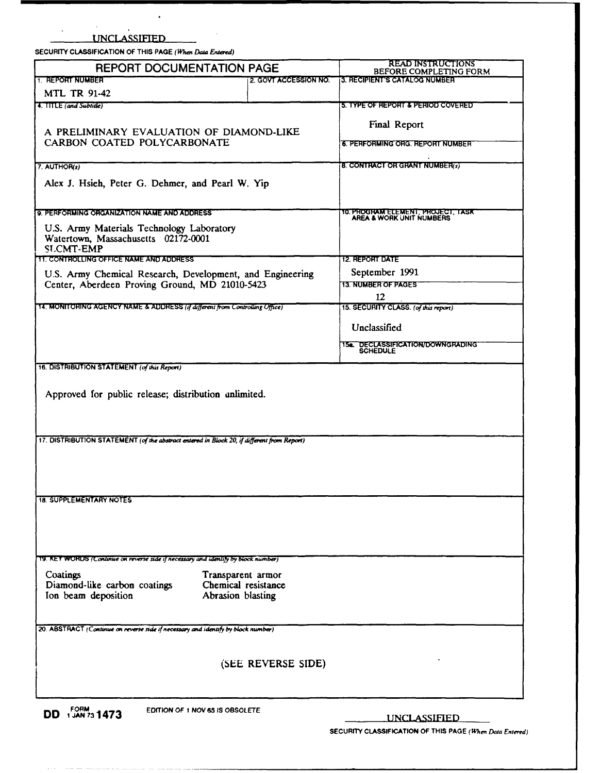UNCLASSIFIED

SECURITY CLASSIFICATION OF THIS PAGE (When Data Entered)

 $\ddot{\phantom{a}}$ 

sure and more many company

| <b>REPORT DOCUMENTATION PAGE</b>                                                                |                       | <b>READ INSTRUCTIONS</b><br>BEFORE COMPLETING FORM            |
|-------------------------------------------------------------------------------------------------|-----------------------|---------------------------------------------------------------|
| <b>TIEREPORT NUMBER</b>                                                                         | 2. GOVT ACCESSION NO. | <b>13. RECIPIENT'S CATALOG NUMBER</b>                         |
| <b>MTL TR 91-42</b>                                                                             |                       |                                                               |
| 4. TITLE (and Subtitle)                                                                         |                       | 5. TYPE OF REPORT & PERIOD COVERED                            |
|                                                                                                 |                       | Final Report                                                  |
| A PRELIMINARY EVALUATION OF DIAMOND-LIKE                                                        |                       |                                                               |
| CARBON COATED POLYCARBONATE                                                                     |                       | 6. PERFORMING ORG. REPORT NUMBER                              |
|                                                                                                 |                       |                                                               |
| 7. AUTHOR(s)                                                                                    |                       | 8. CONTRACT OR GRANT NUMBER(s)                                |
| Alex J. Hsieh, Peter G. Dehmer, and Pearl W. Yip                                                |                       |                                                               |
|                                                                                                 |                       |                                                               |
| 9. PERFORMING ORGANIZATION NAME AND ADDRESS.                                                    |                       | TO PROGRAM ELEMENT, PROJECT, TASK<br>AREA & WORK UNIT NUMBERS |
| U.S. Army Materials Technology Laboratory                                                       |                       |                                                               |
| Watertown, Massachusetts 02172-0001                                                             |                       |                                                               |
| <b>SLCMT-EMP</b>                                                                                |                       |                                                               |
| <b>11. CONTROLLING OFFICE NAME AND ADDRESS</b>                                                  |                       | <b>12. REPORT DATE</b>                                        |
| U.S. Army Chemical Research, Development, and Engineering                                       |                       | September 1991                                                |
| Center, Aberdeen Proving Ground, MD 21010-5423                                                  |                       | <b>13. NUMBER OF PAGES</b><br>12                              |
| 14. MONITOHING AGENCY NAME & ADDRESS (if different from Controlling Office)                     |                       | 15. SECURITY CLASS. (of this report)                          |
|                                                                                                 |                       |                                                               |
|                                                                                                 |                       | Unclassified                                                  |
|                                                                                                 |                       | 15a DECLASSIFICATION/DOWNGRADING<br>SCHEDULE                  |
|                                                                                                 |                       |                                                               |
| 16. DISTRIBUTION STATEMENT (of this Report)                                                     |                       |                                                               |
|                                                                                                 |                       |                                                               |
| Approved for public release; distribution unlimited.                                            |                       |                                                               |
|                                                                                                 |                       |                                                               |
|                                                                                                 |                       |                                                               |
| 17. DISTRIBUTION STATEMENT (of the abstract entered in Block 20, if different from Report)      |                       |                                                               |
|                                                                                                 |                       |                                                               |
|                                                                                                 |                       |                                                               |
|                                                                                                 |                       |                                                               |
|                                                                                                 |                       |                                                               |
| <b>18. SUPPLEMENTARY NOTES</b>                                                                  |                       |                                                               |
|                                                                                                 |                       |                                                               |
|                                                                                                 |                       |                                                               |
|                                                                                                 |                       |                                                               |
|                                                                                                 |                       |                                                               |
| 19. KET WOHUS (Continue on reverse side if necessary and identify by block number)              |                       |                                                               |
| Coatings<br>Transparent armor                                                                   |                       |                                                               |
| Diamond-like carbon coatings<br>Chemical resistance<br>Ion beam deposition<br>Abrasion blasting |                       |                                                               |
|                                                                                                 |                       |                                                               |
|                                                                                                 |                       |                                                               |
| 20. ABSTRACT (Continue on reverse side if necessary and identify by block number)               |                       |                                                               |
|                                                                                                 |                       |                                                               |
|                                                                                                 |                       |                                                               |
|                                                                                                 | (SEE REVERSE SIDE)    |                                                               |
|                                                                                                 |                       |                                                               |
|                                                                                                 |                       |                                                               |
| FORM<br>1 JAN 73 <b>1473</b><br>EDITION OF 1 NOV 65 IS OBSOLETE<br>DD.                          |                       |                                                               |
|                                                                                                 |                       | <b>UNCLASSIFIED</b>                                           |

SECURITY CLASSIFICATION OF THIS PAGE (When Data Entered)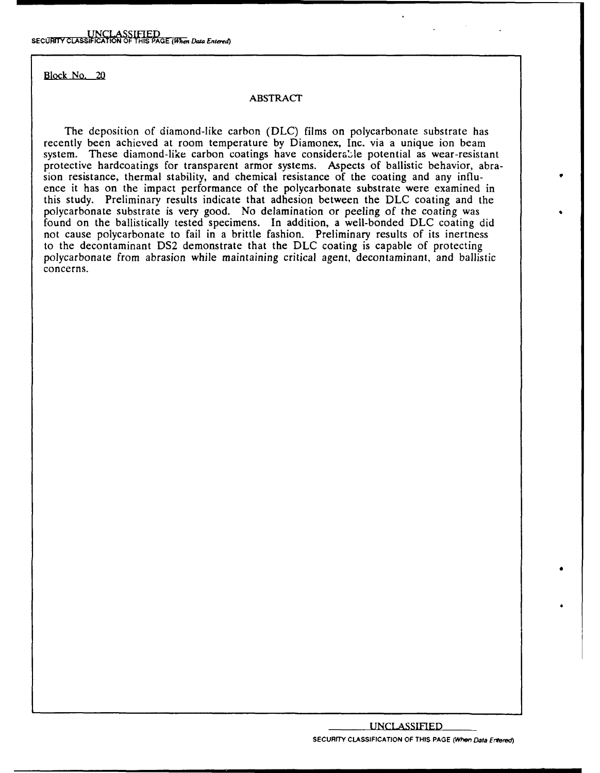Block No. 20

# ABSTRACT

The deposition of diamond-like carbon (DLC) films on polycarbonate substrate has recently been achieved at room temperature by Diamonex, Inc. via a unique ion beam system. These diamond-like carbon coatings have considerable potential as wear-resistant protective hardcoatings for transparent armor systems. Aspects of ballistic behavior, abrasion resistance, thermal stability, and chemical resistance of the coating and any influence it has on the impact performance of the polycarbonate substrate were examined in this study. Preliminary results indicate that adhesion between the DLC coating and the polycarbonate substrate is very good. No delamination or peeling of the coating was found on the ballistically tested specimens. In addition, a well-bonded DLC coating did not cause polycarbonate to fail in a brittle fashion. Preliminary results of its inertness to the decontaminant DS2 demonstrate that the DLC coating is capable of protecting polycarbonate from abrasion while maintaining critical agent, decontaminant, and ballistic concerns.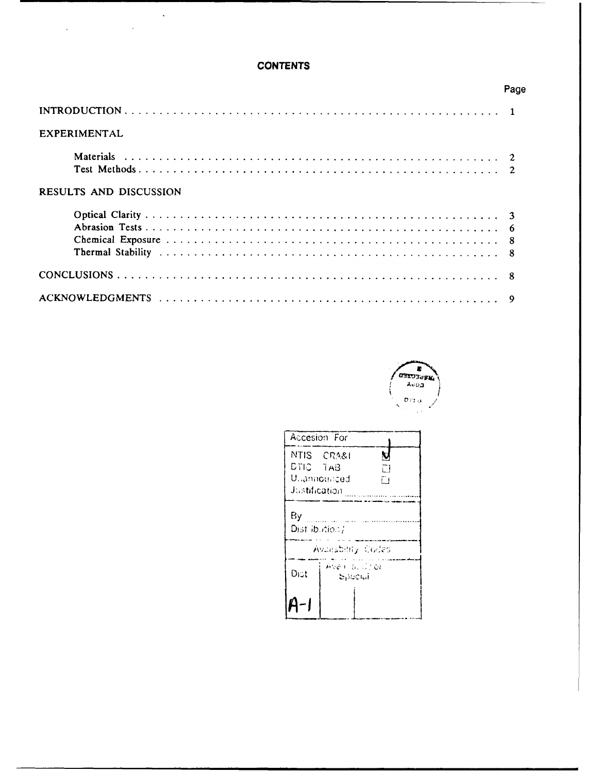# **CONTENTS**

|                        | Page |
|------------------------|------|
|                        |      |
| EXPERIMENTAL           |      |
|                        |      |
|                        |      |
| RESULTS AND DISCUSSION |      |
|                        |      |
|                        |      |
|                        |      |
|                        |      |
|                        |      |
|                        |      |



| Accesion For                         |  |  |  |  |
|--------------------------------------|--|--|--|--|
| NTIS CRA&I<br>N<br>DTIC TAB<br>Γl    |  |  |  |  |
| Ullannoullced<br>ĒΙ<br>Justification |  |  |  |  |
| By<br>Dist ibution/                  |  |  |  |  |
| Availability Codes                   |  |  |  |  |
| Avan al Croi<br>Dist<br>. Spacial    |  |  |  |  |
|                                      |  |  |  |  |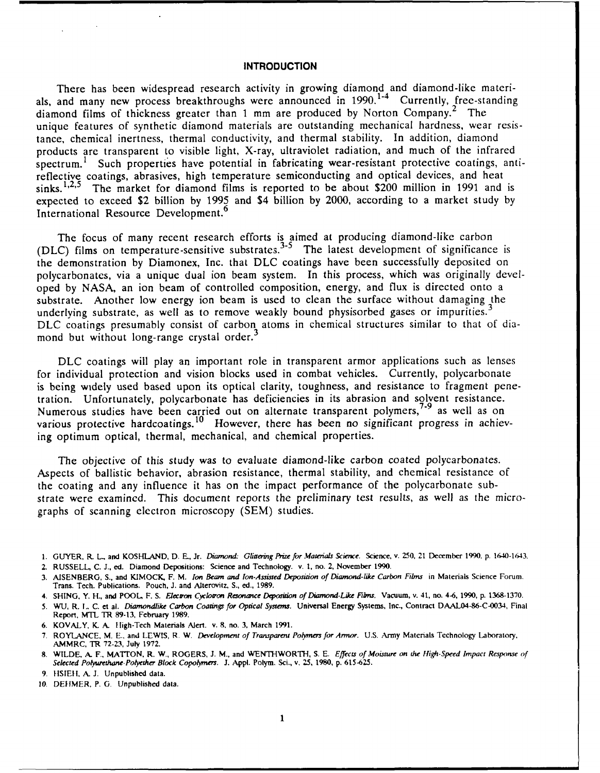## **INTRODUCTION**

There has been widespread research activity in growing diamond and diamond-like materials, and many new process breakthroughs were announced in  $1990$ .<sup>1-4</sup> Currently, free-standing diamond films of thickness greater than 1 mm are produced by Norton Company.<sup>2</sup> The unique features of synthetic diamond materials are outstanding mechanical hardness, wear resistance, chemical inertness, thermal conductivity, and thermal stability. In addition, diamond products are transparent to visible light, X-ray, ultraviolet radiation, and much of the infrared spectrum.<sup>1</sup> Such properties have potential in fabricating wear-resistant protective coatings, antireflective coatings, abrasives, high temperature semiconducting and optical devices, and heat sinks.  $1,2,5$  The market for diamond films is reported to be about \$200 million in 1991 and is expected to exceed \$2 billion by 1995 and \$4 billion by 2000, according to a market study by International Resource Development.<sup>6</sup>

The focus of many recent research efforts is aimed at producing diamond-like carbor (DLC) films on temperature-sensitive substrates.<sup>3-3</sup> The latest development of significance is the demonstration by Diamonex, Inc. that DLC coatings have been successfully deposited on polycarbonates, via a unique dual ion beam system. In this process, which was originally developed by NASA, an ion beam of controlled composition, energy, and flux is directed onto a substrate. Another low energy ion beam is used to clean the surface without damaging the underlying substrate, as well as to remove weakly bound physisorbed gases or impurities.<sup>3</sup> DLC coatings presumably consist of carbon atoms in chemical structures similar to that of diamond but without long-range crystal order.<sup>3</sup>

DLC coatings will play an important role in transparent armor applications such as lenses for individual protection and vision blocks used in combat vehicles. Currently, polycarbonate is being widely used based upon its optical clarity, toughness, and resistance to fragment penetration. Unfortunately, polycarbonate has deficiencies in its abrasion and solvent resistance. Numerous studies have been carried out on alternate transparent polymers,<sup>1-9</sup> as well as or various protective hardcoatings.<sup>10</sup> However, there has been no significant progress in achieving optimum optical, thermal, mechanical, and chemical properties.

The objective of this study was to evaluate diamond-like carbon coated polycarbonates. Aspects of ballistic behavior, abrasion resistance, thermal stability, and chemical resistance of the coating and any influence it has on the impact performance of the polycarbonate substrate were examined. This document reports the preliminary test results, as well as the micrographs of scanning electron microscopy (SEM) studies.

**1.** GUYER. **R.** *L.,* **and KOSHLAND, D. E.,** Jr. *Diamond- Glittering Prize for Materials Science.* Science, v. **250,** 21 **December 1990.** p. 1640-1643.

**2. RUSSELL, C. J., ed. Diamond Depositions: Science and Technology. v. 1, no. 2,** November **1990.**

- **3. AISENBERG, S., and KIMOCK,** F. **M.** *Ion Beam and Ion-Assisted Deposition of Diamond-like Carbon Films* **in** Materials **Science** Forum. Trans. Tech. Publications. Pouch, **J. and** Alterovitz, **S.,** ed., **1989.**
- **4. SHING,** Y. H., and POOL, F. **S.** *Electron Cyclotron Resmonce Dqoiton of Diamond-Like Films.* **Vacuum,** v. 41, no. 4-6, 1990, p. **1368-1370.**
- **5. WU,** R. **I. C.** et al. *Diamondlike Carbon Coatings for Optical Systems.* Universal Energy Systems, **Inc.,** Contract DAAL04-86-C-0034, Final Report, MTL TR **89-13,** February **1989.**
- **6.** KOVALY, **K. A.** Iligh-Tech Materials Ajert. v. **8. no. 3,** March **1991.**
- **7.** ROYLANCE, **M. E.,** and LEWIS, **R.** W. *Development of Transparent Polmers for Armor.* **U.S.** tmy Materials Technology Laboratory, AMMRC, TR **72-23,** July **1972.**
- **8.** WILDE, **A.** F., **MATION,** R. W., ROGERS, **J. M.,** and WENTHWORTH, **S. E.** *Effects of Moisture on the High-Speed Impact Response* of *Selected Polyurethane-Polyether Block Copomers.* **J. AppL. Poym. Sci., v. 25, 1980, p. 615-625.**
- **9. HS1ER, A. J.** Unpublished **data.**
- **10.** DEIIMER, **P. G.** Unpublished **data.**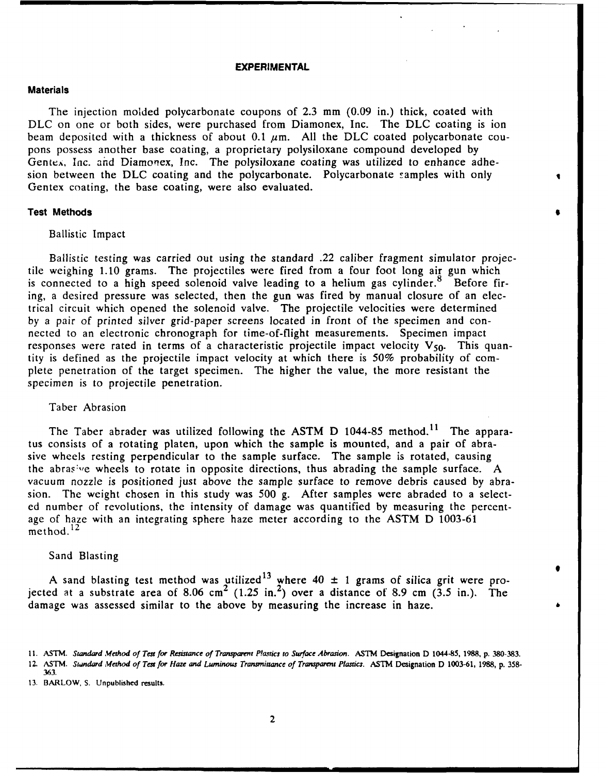# **EXPERIMENTAL**

#### **Materials**

The injection molded polycarbonate coupons of 2.3 mm (0.09 in.) thick, coated with DLC on one or both sides, were purchased from Diamonex, Inc. The DLC coating is ion beam deposited with a thickness of about 0.1  $\mu$ m. All the DLC coated polycarbonate coupons possess another base coating, a proprietary polysiloxane compound developed by Gentex, Inc. and Diamonex, Inc. The polysiloxane coating was utilized to enhance adhesion between the DLC coating and the polycarbonate. Polycarbonate samples with only Gentex coating, the base coating, were also evaluated.

## **Test Methods**

#### Ballistic Impact

Ballistic testing was carried out using the standard .22 caliber fragment simulator projectile weighing 1.10 grams. The projectiles were fired from a four foot long air gun which is connected to a high speed solenoid valve leading to a helium gas cylinder. $8$  Before firing, a desired pressure was selected, then the gun was fired by manual closure of an electrical circuit which opened the solenoid valve. The projectile velocities were determined by a pair of printed silver grid-paper screens located in front of the specimen and connected to an electronic chronograph for time-of-flight measurements. Specimen impact responses were rated in terms of a characteristic projectile impact velocity  $V_{50}$ . This quantity is defined as the projectile impact velocity at which there is 50% probability of complete penetration of the target specimen. The higher the value, the more resistant the specimen is to projectile penetration.

# Taber Abrasion

The Taber abrader was utilized following the ASTM D 1044-85 method.<sup>11</sup> The apparatus consists of a rotating platen, upon which the sample is mounted, and a pair of abrasive wheels resting perpendicular to the sample surface. The sample is rotated, causing the abrasive wheels to rotate in opposite directions, thus abrading the sample surface. A vacuum nozzle is positioned just above the sample surface to remove debris caused by abrasion. The weight chosen in this study was 500 g. After samples were abraded to a selected number of revolutions, the intensity of damage was quantified by measuring the percentage of haze with an integrating sphere haze meter according to the ASTM D 1003-61  $m$ ethod.<sup>12</sup>

#### Sand Blasting

A sand blasting test method was utilized<sup>13</sup> where  $40 \pm 1$  grams of silica grit were projected at a substrate area of 8.06 cm<sup>2</sup> (1.25 in.<sup>2</sup>) over a distance of 8.9 cm (3.5 in.). The damage was assessed similar to the above by measuring the increase in haze.

<sup>11.</sup> ASTM. Standard **Method** of **Test for Resistance of Transparemt** *P!astics* **to Surface** Abrasion. ASTM Designation D 1044-85, **1988,** p. 380-383. 12. **ASTM.** Standard **Method of Test for Haze and Luminous Transmittance** *of Transparent* **Plastics. ASTM** Designation **D 1003-61, 1988, p. 358- 363.**

**<sup>13.</sup>** BARLOW, **S.** Unpublished results.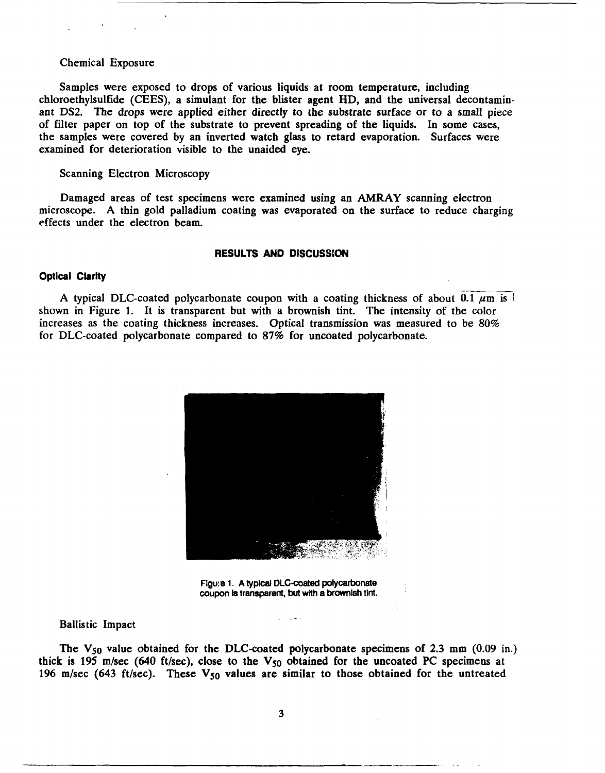#### Chemical Exposure

Samples were exposed to drops of various liquids at room temperature, including chloroethylsulfide **(CEES),** a simulant for the blister agent HD, and the universal decontaminant **DS2. The** drops were applied either directly to the substrate surface or to a small piece of filter paper on top of the substrate to prevent spreading of the liquids. In some cases, the samples were covered **by** an inverted watch glass to retard evaporation. Surfaces were examined for deterioration visible to the unaided eye.

Scanning Electron Microscopy

Damaged areas of test specimens were examined using an AMRAY scanning electron microscope. A thin gold palladium coating was evaporated on the surface to reduce charging effects under the electron beam.

#### **RESULTS AND DISCUSSION**

#### **Optical Clarity**

A typical DLC-coated polycarbonate coupon with a coating thickness of about 0.1  $\mu$ m is shown in Figure 1. It is transparent but with a brownish tint. The intensity of the color increases as the coating thickness increases. Optical transmission was measured to be 80% for DLC-coated polycarbonate compared to 87% for uncoated polycarbonate.



Figu.e **1. A typical OLC-coated polycarbonate** coupon Is transparent, **but** with a brownish tint.

#### Ballistic Impact

The  $V_{50}$  value obtained for the DLC-coated polycarbonate specimens of 2.3 mm  $(0.09 \text{ in.})$ thick is 195 m/sec (640 ft/sec), close to the  $V_{50}$  obtained for the uncoated PC specimens at 196 m/sec (643 ft/sec). These V<sub>50</sub> values are similar to those obtained for the untreated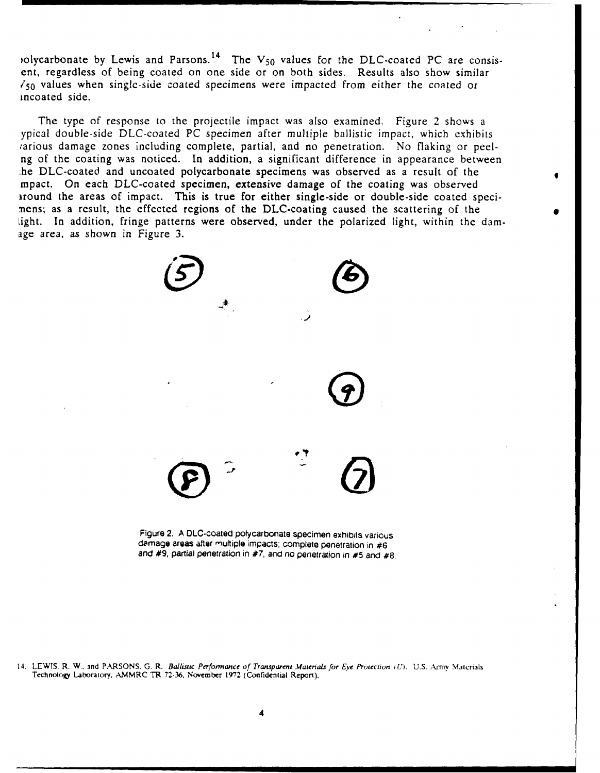)olycarbonate by Lewis and Parsons.<sup>14</sup> The V<sub>50</sub> values for the DLC-coated PC are consisent, regardless of being coated on one side or on both sides. Results also show similar */50* values when singlc-side coated specimens were impacted from either the coated or incoated side.

The type of response to the projectile impact was also examined. Figure 2 shows a ypical double-side DLC-coated PC specimen after multiple ballistic impact, which exhibits tarious damage zones including complete, partial, and no penetration. No flaking or peelng of the coating was noticed. In addition, a significant difference in appearance between ,he DLC-coated and uncoated polycarbonate specimens was observed as a result of the mpact. On each DLC-coated specimen, extensive damage of the coating was observed around the areas of impact. This is true for either single-side or double-side coated specimens; as a result, the effected regions of the DLC-coating caused the scattering of the light. In addition, fringe patterns were observed, under the polarized light, within the damage area, as shown in Figure 3.



Figure **2.** A DLC-coated polycarbonate specimen exhibits various damage areas after multiple impacts; complete penetration in **#6** and *#9,* partial penetration in **#7,** and no penetration in **#5** and #8.

14. LEWIS. R. **W.. and PARSONS, G.** R. Ballistic Performance of *Transparent Materials* for *Eye Protection iU).* U.S. Army Maenals Technology Laboratory. **.AMMRC** TR **72-36,** November **1972** (Confidential Report).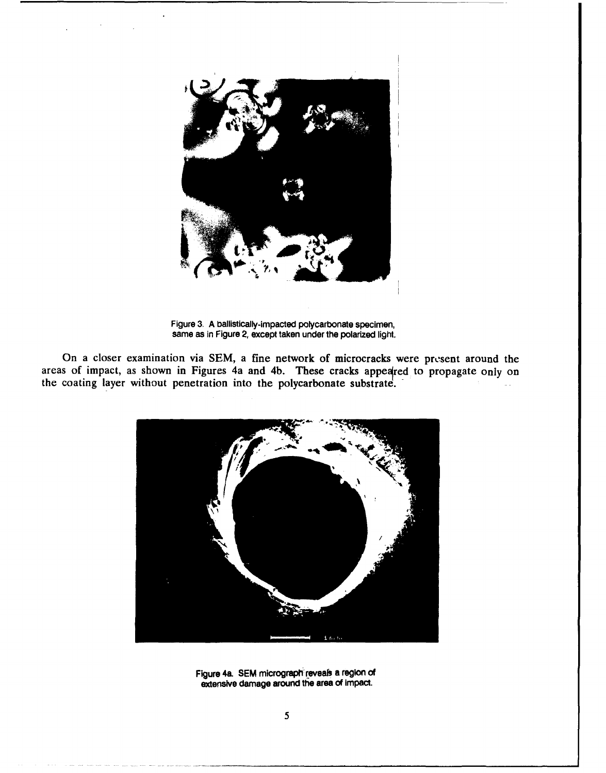

Figure **3. A** ballistically-Impacted polycarbonate specimen, same as in Figure 2, except taken under the polarized light.

On a closer examination via SEM, a fine network of microcracks were present around the areas of impact, as shown in Figures 4a and 4b. These cracks appeared to propagate only on the coating layer without penetration into the polycarbonate substrate.



Figure 4a. **SEM** micrograph'reveafs a region **of** extensive damage around the area **of** Impact.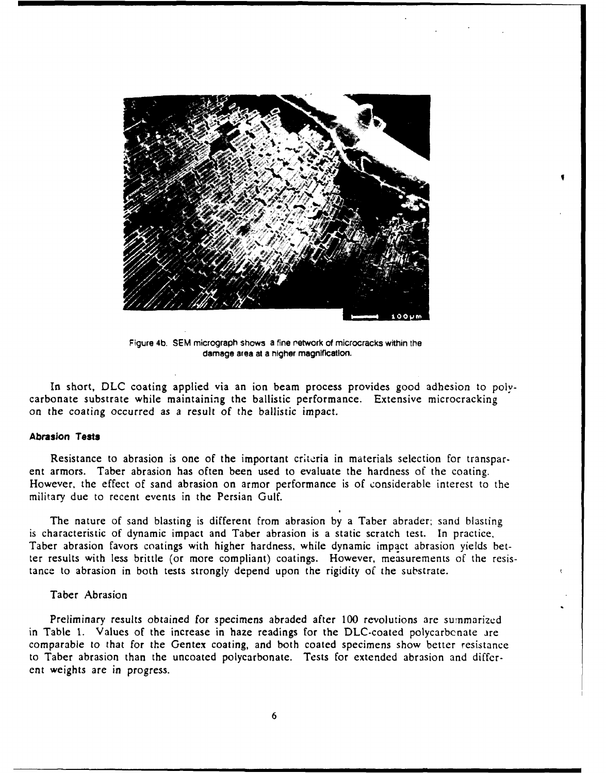

Figure 4b. **SEM** micrograph shows a fine retwork of microcracks within the damage area at a nigher magnification.

In short, **DLC** coating applied via an ion beam process provides good adhesion to polycarbonate substrate while maintaining the ballistic performance. Extensive microcracking on the coating occurred as a result of the ballistic impact.

# **Abrasion Tests**

Resistance to abrasion is one of the important criteria in materials selection for transpar. ent armors. Taber abrasion has often been used to evaluate the hardness of the coating. However, the effect of sand abrasion on armor performance is of considerable interest to the military due to recent events in the Persian Gulf.

The nature of sand blasting is different from abrasion by a Taber abrader; sand blasting is characteristic of dynamic impact and Taber abrasion is a static scratch test. In practice, Taber abrasion favors coatings with higher hardness, while dynamic impact abrasion yields better results with less brittle (or more compliant) coatings. However, measurements of the resistance to abrasion in both tests strongly depend upon the rigidity of the substrate.

# Taber Abrasion

Preliminary results obtained for specimens abraded after 100 revolutions are summarized in Table 1. Values of the increase in haze readings for the DLC-coated polycarbcnate are comparable to that for the Gentex coating, and both coated specimens show better resistance to Taber abrasion than the uncoated polycarbonate. Tests for extended abrasion and different weights are in progress.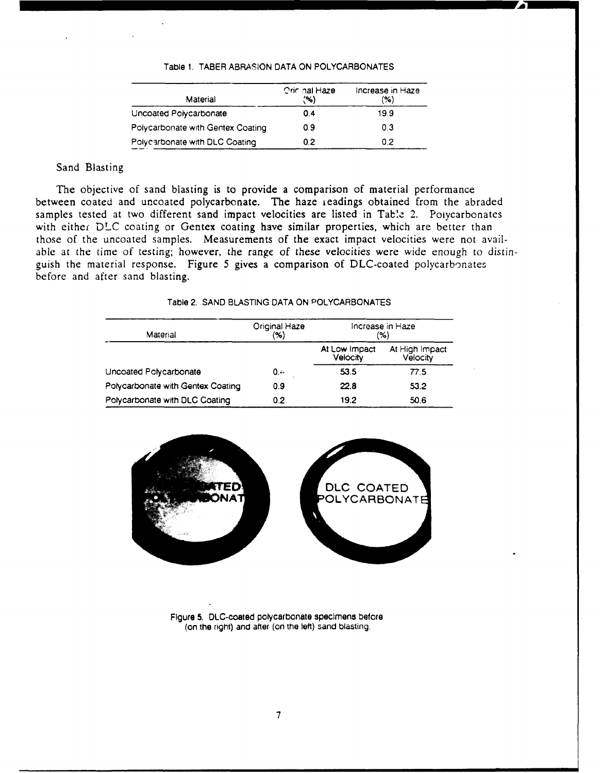#### Table **1.** TABER **ABRASION DATA ON** POLYCARBONATES

| Material                          | <b>Oriclinal Haze</b><br>'%) | Increase in Haze<br>(%) |  |  |  |
|-----------------------------------|------------------------------|-------------------------|--|--|--|
| Uncoated Polycarbonate            | 0.4                          | 19.9                    |  |  |  |
| Polycarbonate with Gentex Coating | 0.9                          | 0.3                     |  |  |  |
| Polycarbonate with DLC Coating    | 0.2                          | 0.2                     |  |  |  |

# Sand Blasting

The objective of sand blasting is to provide a comparison of material performance between coated and uncoated polycarbonate. The haze readings obtained from the abraded samples tested at two different sand impact velocities are listed in Table 2. Poiycarbonates with either **DLC** coating or Gentex coating have similar properties, which are better than those of the uncoated samples. Measurements of the exact impact velocities were not available **at** the time of testing; however, the range of these velocities were wide enough to distinguish the material response. Figure **5** gives a comparison of DLC-coated polycarbonates before and after sand blasting.

# Table 2. **SAND BLASTING DATA ON** POLYCARBONATES

| Original Haze<br>$(\%)$ | Increase in Haze<br>$(\% )$      |                            |  |  |  |
|-------------------------|----------------------------------|----------------------------|--|--|--|
|                         | At Low Impact<br><b>Velocity</b> | At High Impact<br>Velocity |  |  |  |
| 0.4                     | 53.5                             | 77.5                       |  |  |  |
| 0.9                     | 22.8                             | 53.2                       |  |  |  |
| 0.2                     | 19.2                             | 50.6                       |  |  |  |
|                         |                                  |                            |  |  |  |



Figure **5.** DLC-coated polycarbonate specimens before (on the right) and after (on the left) sand blasting.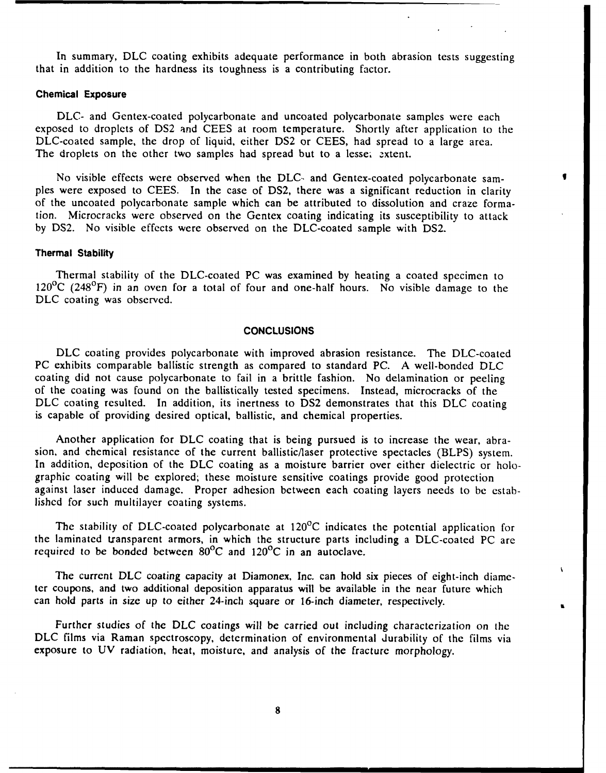In summary, DLC coating exhibits adequate performance in both abrasion tests suggesting that in addition to the hardness its toughness is a contributing factor.

# **Chemical Exposure**

DLC- and Gentex-coated polycarbonate and uncoated polycarbonate samples were each exposed to droplets of DS2 and CEES at room temperature. Shortly after application to the DLC-coated sample, the drop of liquid, either DS2 or CEES, had spread to a large area. The droplets on the other two samples had spread but to a lesse; extent.

No visible effects were observed when the DLC- and Gentex-coated polycarbonate samples were exposed to CEES. In the case of DS2, there was a significant reduction in clarity of the uncoated polycarbonate sample which can be attributed to dissolution and craze formation. Microcracks were observed on the Gentex coating indicating its susceptibility to attack by DS2. No visible effects were observed on the DLC-coated sample with DS2.

#### **Thermal Stability**

Thermal stability of the DLC-coated PC was examined by heating a coated specimen to  $120^{\circ}$ C (248 $^{\circ}$ F) in an oven for a total of four and one-half hours. No visible damage to the DLC coating was observed.

# **CONCLUSIONS**

**DLC** coating provides polycarbonate with improved abrasion resistance. The DLC-coated PC exhibits comparable ballistic strength as compared to standard PC. A well-bonded DLC coating did not cause polycarbonate to fail in a brittle fashion. No delamination or peeling of the coating was found on the ballistically tested specimens. Instead, microcracks of the DLC coating resulted. In addition, its inertness to DS2 demonstrates that this DLC coating is capable of providing desired optical, ballistic, and chemical properties.

Another application for DLC coating that is being pursued is to increase the wear, abrasion, and chemical resistance of the current ballistic/laser protective spectacles (BLPS) system. In addition, deposition of the DLC coating as a moisture barrier over either dielectric or holographic coating will be explored; these moisture sensitive coatings provide good protection against laser induced damage. Proper adhesion between each coating layers needs to be established for such multilayer coating systems.

The stability of DLC-coated polycarbonate at  $120^{\circ}$ C indicates the potential application for the laminated transparent armors, in which the structure parts including a DLC-coated PC are required to be bonded between  $80^{\circ}$ C and  $120^{\circ}$ C in an autoclave.

The current DLC coating capacity at Diamonex, Inc. can hold six pieces of eight-inch diameter coupons, and two additional deposition apparatus will be available in the near future which can hold parts in size up to either 24-inch square or 16-inch diameter, respectively.

Further studies of the DLC coatings will be carried out including characterization on the DLC films via Raman spectroscopy, determination of environmental durability of the films via exposure to UV radiation, heat, moisture, and analysis of the fracture morphology.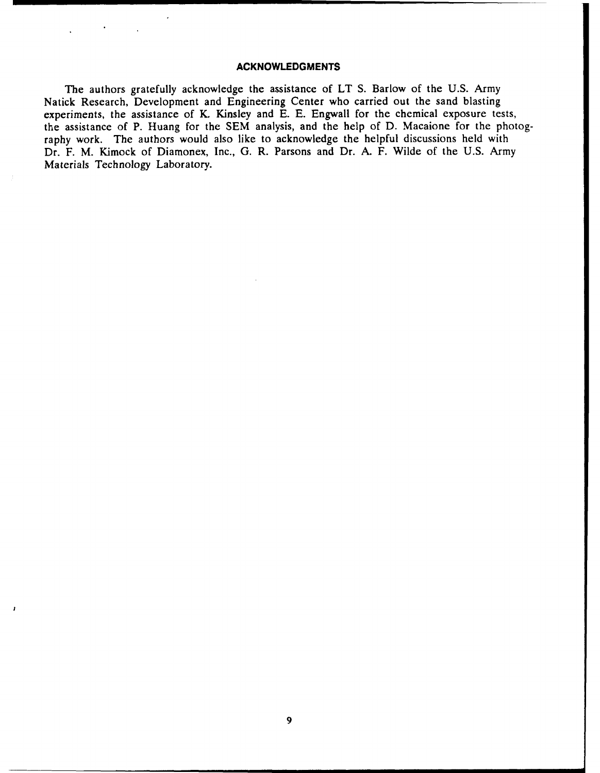# **ACKNOWLEDGMENTS**

The authors gratefully acknowledge the assistance of LT S. Barlow of the U.S. Army Natick Research, Development and Engineering Center who carried out the sand blasting experiments, the assistance of K. Kinsley and E. E. Engwall for the chemical exposure tests, the assistance of P. Huang for the SEM analysis, and the help of D. Macaione for the photography work. The authors would also like to acknowledge the helpful discussions held with Dr. F. M. Kimock of Diamonex, Inc., **G.** R. Parsons and Dr. A. F. Wilde of the U.S. Army Materials Technology Laboratory.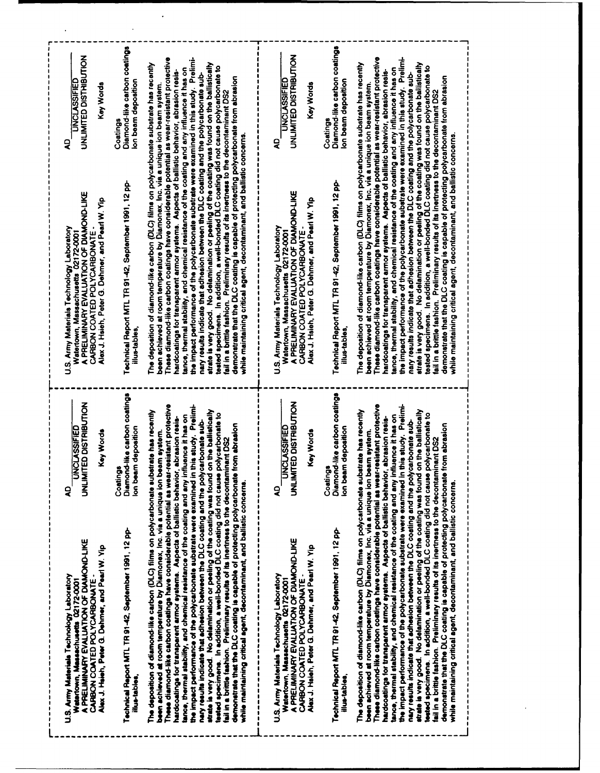| These diamond-like carbon coatings have considerable potential as wear-resistant protective<br>the impact performance of the polycarbonate substrate were examined in this study. Prelimi-<br>The deposition of diamond-like carbon (DLC) films on polycarbonate substrate has recently<br>tance, thermal stability, and chemical resistance of the coating and any influence it has on<br>hardcoatings for transparent armor systems. Aspects of ballistic behavior, abrasion resis-<br>nary results indicate that adhesion between the DLC coating and the polycarbonate sub-<br>been achieved at room temperature by Diamonex, inc. via a unique ion beam system.<br><b>Coatings</b><br>ş<br>Technical Report MTL TR 91-42, September 1991, 12 pp-<br>A PRELIMINARY EVALUATION OF DIAMOND-LIKE<br>Alex J. Hsieh, Peter G. Dehmer, and Pearl W. Yip<br>U.S. Army Materials Technology Laboratory<br>CARBON COATED POLYCARBONATE-<br>Watertown, Massachusetts 02172-0001<br>illus-tables<br>Diamond-like carbon coatings<br>UNLIMITED DISTRIBUTION<br>These diamond-like carbon coatings have considerable potential as wear-resistant protective<br>the impact performance of the polycarbonate substrate were examined in this study. Prelimi-<br>The deposition of diamond-like carbon (DLC) films on polycarbonate substrate has recently<br>it has on<br>hardcoatings for transparent armor systems. Aspects of ballistic behavior, abrasion resis-<br>nary results indicate that adhesion between the DLC coating and the polycarbonate sub-<br><b>UNCLASSIFIED</b><br>Ion beam deposition<br>been achieved at room temperature by Diamonex, Inc. via a unique ion beam system.<br><b>Spio</b><br>Key W<br>tance, thermal stability, and chemical resistance of the costing and any influence<br>Coatings<br>ş<br>Technical Report MTL TR 91-42, September 1991, 12 pp-<br>A PRELIMINARY EVALUATION OF DIAMOND-LIKE<br>Alex J. Haieh, Peter G. Dehmer, and Pearl W. Yip<br>U.S. Army Materials Technology Laboratory<br>CARBON COATED POLYCARBONATE-<br>Watertown, Massachusetts 02172-0001<br>illus-tables. | These diamond-like carbon coatings have considerable potential as wear-resistant protective<br>the impact performance of the polycarbonate substrate were examined in this study. Prelimi-<br>strate is very good. No determination or peeling of the coating was found on the ballistically<br>The deposition of diamond-like carbon (DLC) films on polycarbonate substrate has recently<br>tested specimens. In addition, a well-bonded DLC coating did not cause polycarbonate to<br>hardcoatings for transparent armor systems. Aspects of ballistic behavior, abrasion resis-<br>nary results indicate that adhesion between the DLC coating and the polycarbonate sub-<br>demonstrate that the DLC coating is capable of protecting polycarbonate from abrasion<br>been achieved at room temperature by Diamonex, Inc. via a unique ion beam system.<br>fail in a brittle fashion. Preliminary results of its inertness to the decontaminant DS2<br>tance, thermal stability, and chemical resistance of the coating and any influence<br>while maintaining critical agent, decontaminant, and ballistic concerns<br>Technical Report MTL TR 91-42, September 1991, 12 pp-<br>A PRELIMINARY EVALUATION OF DIAMOND-LIKE<br>Alex J. Haieh, Peter G. Dehmer, and Pearl W. Yip<br>U.S. Army Materials Technology Laboratory<br>CARBON COATED POLYCARBONATE-<br>Watertown, Massachusetts 02172-0001<br>illus-tables, | Diamond-like carbon coatings<br>UNLIMITED DISTRIBUTION<br>it has on<br><b>UNCLASSIFIED</b><br>lon beam deposition<br><b>apo</b><br>Key W<br>Coatings<br>ş | These diamond-like carbon coatings have considerable potential as wear-resistant protective<br>the impact performance of the polycarbonate substrate were examined in this study. Prelimi-<br>strate is very good. No delamination or peeling of the coating was found on the ballistically<br>The deposition of diamond-like carbon (DLC) films on polycarbonate substrate has recently<br>lested specimens. In addition, a well-bonded DLC coating did not cause polycarbonate to<br>tance, thermal stability, and chemical resistance of the coating and any influence it has on<br>hardcoatings for transparent armor systems. Aspects of ballistic behavior, abrasion resis-<br>nary results indicate that adhesion between the DLC coating and the polycarbonate sub-<br>demonatrate that the DLC coating is capable of protecting polycarbonate from abrasion<br>been achieved at room temperature by Diamonex, inc. via a unique ion beam system.<br>fail in a brittle fashion. Preliminary results of its inertness to the decontaminant DS2<br>while maintaining critical agent, decontaminant, and ballistic concerns.<br>Technical Report MTL TR 91-42, September 1991, 12 pp-<br>Watertown, Massachusetts 02172-0001<br>A PRELIMINARY EVALUATION OF DIAMOND-LIKE<br>Alex J. Hsieh, Peter G. Dehmer, and Pearl W. Yip<br>U.S. Army Materials Technology Laboratory<br>CARBON COATED POLYCARBONATE<br>illus-tables, | Diamond-like carbon coatings<br>UNLIMITED DISTRIBUTION<br>lon beam deposition<br><b>UNCLASSIFIED</b><br>Key Words<br>Coatings<br>ş |
|---------------------------------------------------------------------------------------------------------------------------------------------------------------------------------------------------------------------------------------------------------------------------------------------------------------------------------------------------------------------------------------------------------------------------------------------------------------------------------------------------------------------------------------------------------------------------------------------------------------------------------------------------------------------------------------------------------------------------------------------------------------------------------------------------------------------------------------------------------------------------------------------------------------------------------------------------------------------------------------------------------------------------------------------------------------------------------------------------------------------------------------------------------------------------------------------------------------------------------------------------------------------------------------------------------------------------------------------------------------------------------------------------------------------------------------------------------------------------------------------------------------------------------------------------------------------------------------------------------------------------------------------------------------------------------------------------------------------------------------------------------------------------------------------------------------------------------------------------------------------------------------------------------------------------------------------------------------------------------------------------------------------------------------------------------------------------------------------------------------------|-----------------------------------------------------------------------------------------------------------------------------------------------------------------------------------------------------------------------------------------------------------------------------------------------------------------------------------------------------------------------------------------------------------------------------------------------------------------------------------------------------------------------------------------------------------------------------------------------------------------------------------------------------------------------------------------------------------------------------------------------------------------------------------------------------------------------------------------------------------------------------------------------------------------------------------------------------------------------------------------------------------------------------------------------------------------------------------------------------------------------------------------------------------------------------------------------------------------------------------------------------------------------------------------------------------------------------------------------------------------------------------------------------------------------|-----------------------------------------------------------------------------------------------------------------------------------------------------------|--------------------------------------------------------------------------------------------------------------------------------------------------------------------------------------------------------------------------------------------------------------------------------------------------------------------------------------------------------------------------------------------------------------------------------------------------------------------------------------------------------------------------------------------------------------------------------------------------------------------------------------------------------------------------------------------------------------------------------------------------------------------------------------------------------------------------------------------------------------------------------------------------------------------------------------------------------------------------------------------------------------------------------------------------------------------------------------------------------------------------------------------------------------------------------------------------------------------------------------------------------------------------------------------------------------------------------------------------------------------------------------------------------------------------------|------------------------------------------------------------------------------------------------------------------------------------|
| lested specimens. In addition, a well-bonded DLC coating did not cause polycarbonate to<br>fail in a brittle fashion. Preliminary results of its inertness to the decontaminant DS2<br>tested specimens. In addition, a well-bonded DLC coating did not cause polycarbonate to<br>fail in a brittle fashion. Preliminary results of its inertness to the decontaminant DS2                                                                                                                                                                                                                                                                                                                                                                                                                                                                                                                                                                                                                                                                                                                                                                                                                                                                                                                                                                                                                                                                                                                                                                                                                                                                                                                                                                                                                                                                                                                                                                                                                                                                                                                                          | strate is very good. No delamination or peeling of the coating was found on the I                                                                                                                                                                                                                                                                                                                                                                                                                                                                                                                                                                                                                                                                                                                                                                                                                                                                                                                                                                                                                                                                                                                                                                                                                                                                                                                                     | ballistically                                                                                                                                             | strate is very good. No delamination or peeling of the coating was found on the ballistically                                                                                                                                                                                                                                                                                                                                                                                                                                                                                                                                                                                                                                                                                                                                                                                                                                                                                                                                                                                                                                                                                                                                                                                                                                                                                                                                  | Diamond-like carbon coatings<br>UNLIMITED DISTRIBUTION<br><b>UNCLASSIFIED</b><br>Ion beam deposition<br>Key Words                  |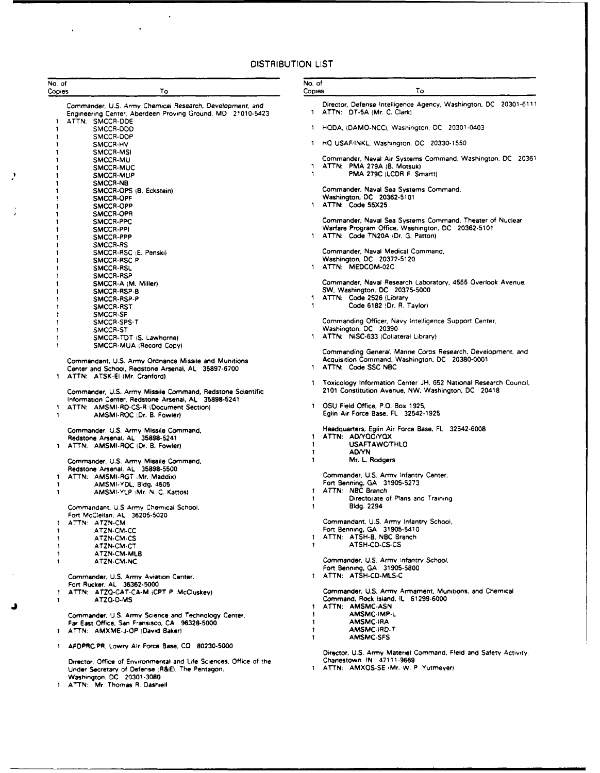# **DISTRIBUTION LIST**

L.

 $\ddot{\phantom{0}}$ 

| No. of<br>Copies | To                                                                                                                    | No. of<br>Copies | То                                                                            |
|------------------|-----------------------------------------------------------------------------------------------------------------------|------------------|-------------------------------------------------------------------------------|
|                  | Commander, U.S. Army Chemical Research, Development, and                                                              |                  | Director, Defense Intelligence Agency, Washington, DC 20301-6111              |
| 1                | Engineering Center, Aberdeen Proving Ground, MD 21010-5423<br>ATTN: SMCCR-DDE                                         |                  | 1 ATTN: DT-5A (Mr. C. Clark)                                                  |
| 1                | SMCCR-DDD                                                                                                             |                  | 1 HQDA, (DAMO-NCC), Washington, DC 20301-0403                                 |
| 1<br>1           | SMCCR-DOP<br>SMCCR-HV                                                                                                 |                  | 1 HQ USAF/INKL, Washington, DC 20330-1550                                     |
|                  | <b>SMCCR-MSI</b><br>SMCCR-MU                                                                                          |                  | Commander, Naval Air Systems Command, Washington, DC = 20361                  |
|                  | SMCCR-MUC                                                                                                             |                  | 1 ATTN: PMA 279A (B. Motsuk)                                                  |
|                  | SMCCR-MUP<br>SMCCR-NB                                                                                                 | $\mathbf{1}$     | PMA 279C (LCDR F. Smartt)                                                     |
| 1                | SMCCR-OPS (B. Eckstein)                                                                                               |                  | Commander, Naval Sea Systems Command,<br>Washington, DC 20362-5101            |
| 1                | SMCCR-OPF<br>SMCCR-OPP                                                                                                |                  | 1 ATTN: Code 55X25                                                            |
| 1<br>1           | SMCCR-OPR<br>SMCCR-PPC                                                                                                |                  | Commander, Naval Sea Systems Command, Theater of Nuclear                      |
| 1                | SMCCR-PPI                                                                                                             |                  | Warfare Program Office, Washington, DC 20362-5101                             |
| 1<br>1           | SMCCR-PPP<br><b>SMCCR-RS</b>                                                                                          |                  | 1 ATTN: Code TN20A (Dr. G. Patton)                                            |
| 1                | SMCCR-RSC (E. Penski)                                                                                                 |                  | Commander, Naval Medical Command,                                             |
| 1<br>1           | SMCCR-RSC-P<br>SMCCR-RSL                                                                                              |                  | Washington, DC 20372-5120<br>1 ATTN: MEDCOM-02C                               |
| 1                | SMCCR-RSP                                                                                                             |                  | Commander, Naval Research Laboratory, 4555 Overlook Avenue,                   |
| 1<br>1           | SMCCR-A (M. Miller)<br>SMCCR-RSP-B                                                                                    |                  | SW, Washington, DC 20375-5000                                                 |
| 1<br>1           | SMCCR-RSP-P<br>SMCCR-RST                                                                                              | 1.<br>1          | ATTN: Code 2526 (Library<br>Code 6182 (Dr. R. Taylor)                         |
| 1                | SMCCR-SF                                                                                                              |                  |                                                                               |
| 1.<br>1          | SMCCR-SPS-T<br>SMCCR-ST                                                                                               |                  | Commanding Officer, Navy Intelligence Support Center,<br>Washington, DC 20390 |
| 1<br>1           | SMCCR-TDT (S. Lawhorne)                                                                                               |                  | 1 ATTN: NISC-633 (Collateral Library)                                         |
|                  | SMCCR-MUA (Record Copy)                                                                                               |                  | Commanding General, Marine Corps Research, Development, and                   |
|                  | Commandant, U.S. Army Ordnance Missile and Munitions<br>Center and School, Redstone Arsenal, AL 35897-6700            |                  | Acquisition Command, Washington, DC 20380-0001<br>1 ATTN: Code SSC NBC        |
|                  | 1 ATTN: ATSK-El (Mr. Cranford)                                                                                        | 1.               | Toxicology Information Center JH, 652 National Research Council,              |
|                  | Commander, U.S. Army Missile Command, Redstone Scientific                                                             |                  | 2101 Constitution Avenue, NW, Washington, DC 20418                            |
| 1                | Information Center, Redstone Arsenal, AL 35898-5241<br>ATTN: AMSMI-RD-CS-R (Document Section)                         | 1.               | OSU Field Office, P.O. Box 1925,                                              |
| 1                | AMSMI-ROC (Dr. B. Fowler)                                                                                             |                  | Eglin Air Force Base, FL 32542-1925                                           |
|                  | Commander, U.S. Army Missile Command,                                                                                 |                  | Headquarters, Eglin Air Force Base, FL 32542-6008                             |
|                  | Redstone Arsenal, AL 35898-5241<br>1 ATTN: AMSMI-ROC (Dr. B. Fowler)                                                  | 1<br>1           | ATTN: AD/YQO/YOX<br><b>USAFTAWC/THLO</b>                                      |
|                  |                                                                                                                       | 1<br>1           | <b>AD/YN</b><br>Mr. L. Rodgers                                                |
|                  | Commander, U.S. Army Missile Command,<br>Redstone Arsenal, AL 35898-5500                                              |                  |                                                                               |
| 1.<br>1          | ATTN: AMSMI-RGT (Mr. Maddix)<br>AMSMI-YDL, Bldg. 4505                                                                 |                  | Commander, U.S. Army Infantry Center,<br>Fort Benning, GA 31905-5273          |
| 1                | AMSMI-YLP (Mr. N. C. Kattos)                                                                                          | 1.               | ATTN: NBC Branch                                                              |
|                  | Commandant, U.S Army Chemical School,                                                                                 | 1<br>1           | Directorate of Plans and Training<br>Bldg. 2294                               |
|                  | Fort McClellan, AL 36205-5020                                                                                         |                  | Commandant, U.S. Army Infantry School,                                        |
| 1<br>1           | ATTN: ATZN-CM<br>ATZN-CM-CC                                                                                           |                  | Fort Benning, GA 31905-5410                                                   |
| 1<br>1           | ATZN-CM-CS<br>ATZN-CM-CT                                                                                              | ı.               | ATTN: ATSH-B, NBC Branch<br>ATSH-CD-CS-CS                                     |
| 1                | ATZN-CM-MLB                                                                                                           |                  |                                                                               |
| 1                | ATZN-CM-NC                                                                                                            |                  | Commander, U.S. Army Infantry School,<br>Fort Benning, GA 31905-5800          |
|                  | Commander, U.S. Army Aviation Center,                                                                                 |                  | 1 ATTN: ATSH-CD-MLS-C                                                         |
| 1                | Fort Rucker, AL 36362-5000<br>ATTN: ATZQ-CAT-CA-M (CPT P. McCluskev)                                                  |                  | Commander, U.S. Army Armament, Munitions, and Chemical                        |
| 1                | ATZQ-D-MS                                                                                                             |                  | Command, Rock Island, IL 61299-6000<br>ATTN: AMSMC-ASN                        |
|                  | Commander, U.S. Army Science and Technology Center,                                                                   | 1                | AMSMC IMP-L                                                                   |
| $\mathbf{1}$     | Far East Office, San Fransisco, CA 96328-5000<br>ATTN: AMXME-J-OP (David Baker)                                       | 1<br>1           | <b>AMSMC IRA</b><br>AMSMC-IRD-T                                               |
|                  |                                                                                                                       | 1                | <b>AMSMC-SFS</b>                                                              |
|                  | 1 AFDPRC.PR, Lowry Air Force Base, CO 80230-5000                                                                      |                  | Director, U.S. Army Materiel Command, Fleld and Safety Activity,              |
|                  | Director, Office of Environmental and Life Sciences, Office of the<br>Under Secretary of Defense (R&E). The Pentagon, |                  | Charlestown IN 47111-9669<br>1 ATTN: AMXOS-SE (Mr. W. P. Yutmeyer)            |
|                  | Washington, DC 20301-3080                                                                                             |                  |                                                                               |
|                  | 1 ATTN: Mr. Thomas R. Dashiell                                                                                        |                  |                                                                               |

 $\boldsymbol{\mathcal{I}}$ 

 $\frac{1}{2}$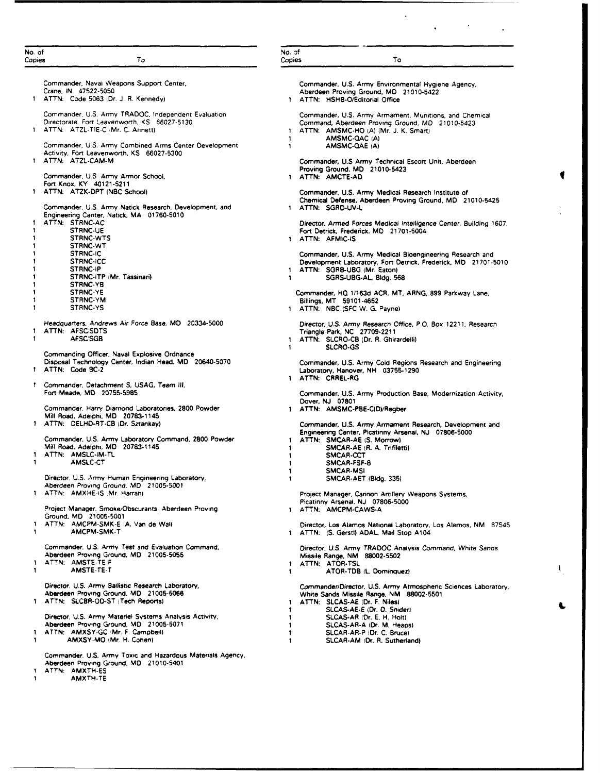| No. of<br>Copies  | To                                                                           | No. of<br>Copies | To                                                                 |
|-------------------|------------------------------------------------------------------------------|------------------|--------------------------------------------------------------------|
|                   |                                                                              |                  |                                                                    |
|                   | Commander, Navai Weapons Support Center,                                     |                  | Commander, U.S. Army Environmental Hygiene Agency,                 |
|                   | Crane, IN 47522-5050                                                         |                  | Aberdeen Proving Ground, MD 21010-5422                             |
|                   | 1 ATTN: Code 5063 (Dr. J. R. Kennedy)                                        |                  | 1 ATTN: HSHB-O/Editorial Office                                    |
|                   | Commander, U.S. Army TRADOC, Independent Evaluation                          |                  | Commander, U.S. Army Armament, Munitions, and Chemical             |
|                   | Directorate, Fort Leavenworth, KS 66027-5130                                 |                  | Command, Aberdeen Proving Ground, MD 21010-5423                    |
|                   | 1 ATTN: ATZL-TIE-C (Mr. C. Annett)                                           | $\mathbf{1}$     | ATTN: AMSMC-HO (A) (Mr. J. K. Smart)                               |
|                   |                                                                              | 1                | AMSMC-QAC (A)                                                      |
|                   | Commander, U.S. Army Combined Arms Center Development                        | $\mathbf{1}$     | AMSMC-QAE (A)                                                      |
|                   | Activity, Fort Leavenworth, KS 66027-5300                                    |                  |                                                                    |
|                   | 1 ATTN: ATZL-CAM-M                                                           |                  | Commander, U.S Army Technical Escort Unit, Aberdeen                |
|                   | Commander, U.S. Army Armor School,                                           |                  | Proving Ground, MD 21010-5423<br>1 ATTN: AMCTE-AD                  |
|                   | Fort Knox, KY 40121-5211                                                     |                  |                                                                    |
|                   | 1 ATTN: ATZK-DPT (NBC School)                                                |                  | Commander, U.S. Army Medical Research Institute of                 |
|                   |                                                                              |                  | Chemical Defense, Aberdeen Proving Ground, MD 21010-5425           |
|                   | Commander, U.S. Army Natick Research, Development, and                       |                  | 1 ATTN: SGRD-UV-L                                                  |
|                   | Engineering Center, Natick, MA 01760-5010                                    |                  |                                                                    |
| 1                 | ATTN: STRNC-AC                                                               |                  | Director, Armed Forces Medical Intelligence Center, Building 1607, |
| 1                 | <b>STRNC-UE</b><br>STRNC-WTS                                                 |                  | Fort Detrick, Frederick, MD 21701-5004<br>1 ATTN: AFMIC-IS         |
|                   | <b>STRNC-WT</b>                                                              |                  |                                                                    |
|                   | <b>STRNC-IC</b>                                                              |                  | Commander, U.S. Army Medical Bioengineering Research and           |
|                   | <b>STRNC-ICC</b>                                                             |                  | Development Laboratory, Fort Detrick, Frederick, MD 21701-5010     |
|                   | <b>STRNC-IP</b>                                                              | 1.               | ATTN: SGRB-UBG (Mr. Eaton)                                         |
|                   | STRNC-ITP (Mr. Tassinari)                                                    | 1.               | SGRS-U8G-AL, 8tdg. 568                                             |
|                   | <b>STRNC YB</b>                                                              |                  |                                                                    |
|                   | STRNC YE                                                                     |                  | Commander, HQ 1/163d ACR, MT, ARNG, 899 Parkway Lane,              |
| 1<br>$\mathbf{1}$ | <b>STRNC-YM</b>                                                              |                  | Billings, MT 59101-4652                                            |
|                   | STRNC-YS                                                                     |                  | 1 ATTN: NBC (SFC W. G. Payne)                                      |
|                   | Headquarters, Andrews Air Force Base, MD 20334-5000                          |                  | Director, U.S. Army Research Office, P.O. Box 12211, Research      |
| 1.                | ATTN: AFSCSDTS                                                               |                  | Triangle Park, NC 27709-2211                                       |
| 1                 | <b>AFSC:SGB</b>                                                              |                  | 1 ATTN: SLCRO-CB (Dr. R. Ghirardelli)                              |
|                   |                                                                              | 1                | <b>SLCRO-GS</b>                                                    |
|                   | Commanding Officer, Naval Explosive Ordnance                                 |                  |                                                                    |
|                   | Disposal Technology Center, Indian Head, MD 20640-5070                       |                  | Commander, U.S. Army Cold Regions Research and Engineering         |
|                   | 1 ATTN: Code BC-2                                                            |                  | Laboratory, Hanover, NH 03755-1290                                 |
|                   | 1 Commander, Detachment S, USAG, Team III,                                   |                  | 1 ATTN: CRREL-RG                                                   |
|                   | Fort Meade, MD 20755-5985                                                    |                  | Commander, U.S. Army Production Base, Modernization Activity,      |
|                   |                                                                              |                  | Dover, NJ 07801                                                    |
|                   | Commander, Harry Diamond Laboratories, 2800 Powder                           |                  | 1 ATTN: AMSMC-PBE-C(D)/Regber                                      |
|                   | Mill Road, Adelphi, MD 20783-1145                                            |                  |                                                                    |
|                   | 1 ATTN: DELHD-RT-CB (Dr. Sztankay)                                           |                  | Commander, U.S. Army Armament Research, Development and            |
|                   | Commander, U.S. Army Laboratory Command, 2800 Powder                         |                  | Engineering Center, Picatinny Arsenal, NJ 07806-5000               |
|                   | Mill Road, Adelphi, MD 20783-1145                                            | 1.               | ATTN: SMCAR-AE (S. Morrow)                                         |
| 1.                | ATTN: AMSLC-IM-TL                                                            | 1<br>1           | SMCAR-AE (R. A. Trifiletti)<br>SMCAR-CCT                           |
| 1                 | <b>AMSLC-CT</b>                                                              | 1                | SMCAR-FSF-B                                                        |
|                   |                                                                              | 1                | <b>SMCAR-MSI</b>                                                   |
|                   | Director, U.S. Army Human Engineering Laboratory,                            | 1                | SMCAR-AET (Bldg. 335)                                              |
|                   | Aberdeen Proving Ground, MD 21005-5001                                       |                  |                                                                    |
|                   | ATTN: AMXHE-IS : Mr. Harrahi                                                 |                  | Project Manager, Cannon Artillery Weapons Systems,                 |
|                   |                                                                              |                  | Picatinny Arsenal, NJ 07806-5000                                   |
|                   | Project Manager, Smoke/Obscurants, Aberdeen Proving<br>Ground, MD 21005-5001 |                  | 1 ATTN: AMCPM-CAWS-A                                               |
| 1                 | ATTN: AMCPM-SMK-E (A. Van de Wal)                                            |                  | Director, Los Alamos National Laboratory, Los Alamos, NM 87545     |
| 1                 | AMCPM-SMK-T                                                                  |                  | 1 ATTN: (S. Gerstl) ADAL, Mail Stop A104                           |
|                   |                                                                              |                  |                                                                    |
|                   | Commander, U.S. Army Test and Evaluation Command,                            |                  | Director, U.S. Army TRADOC Analysis Command, White Sands           |
|                   | Aberdeen Proving Ground, MD 21005-5055                                       |                  | Missile Range, NM 88002-5502                                       |
| J.                | ATTN: AMSTE-TE-F<br>AMSTE-TE-T                                               |                  | 1 ATTN: ATOR-TSL                                                   |
| 1.                |                                                                              | 1.               | ATOR-TDB (L. Dominquez)                                            |
|                   | Director, U.S. Army Bailistic Research Laboratory,                           |                  | Commander/Director, U.S. Army Atmospheric Sciences Laboratory,     |
|                   | Aberdeen Proving Ground, MD 21005-5066                                       |                  | White Sands Missile Range, NM 88002-5501                           |
|                   | 1 ATTN: SLCBR-OD-ST (Tech Reports)                                           | 1.               | ATTN: SLCAS-AE (Dr. F. Niles)                                      |
|                   |                                                                              | 1.               | SLCAS-AE-E (Dr. D. Snider)                                         |
|                   | Director, U.S. Army Materiel Systems Analysis Activity,                      | 1                | SLCAS-AR (Dr. E. H. Holt)                                          |
|                   | Aberdeen Proving Ground, MD 21005-5071                                       | 1                | SLCAS-AR-A (Dr. M. Heaps)                                          |
| Ţ.                | ATTN: AMXSY-GC /Mr. F. Campbell)                                             | 1                | SLCAR-AR-P (Dr. C. Bruce)                                          |
| 1.                | AMXSY-MO (Mr. H. Cohen)                                                      | 1                | SLCAR-AM (Dr. R. Sutherland)                                       |
|                   | Commander, U.S. Army Toxic and Hazardous Materials Agency,                   |                  |                                                                    |
|                   | Aberdeen Proving Ground, MD 21010-5401                                       |                  |                                                                    |
|                   | 1 ATTN: AMXTH-ES                                                             |                  |                                                                    |

 $\ddot{\phantom{0}}$ 

 $\ddot{\phantom{a}}$ 

- 
- 1 AMXTH-TE